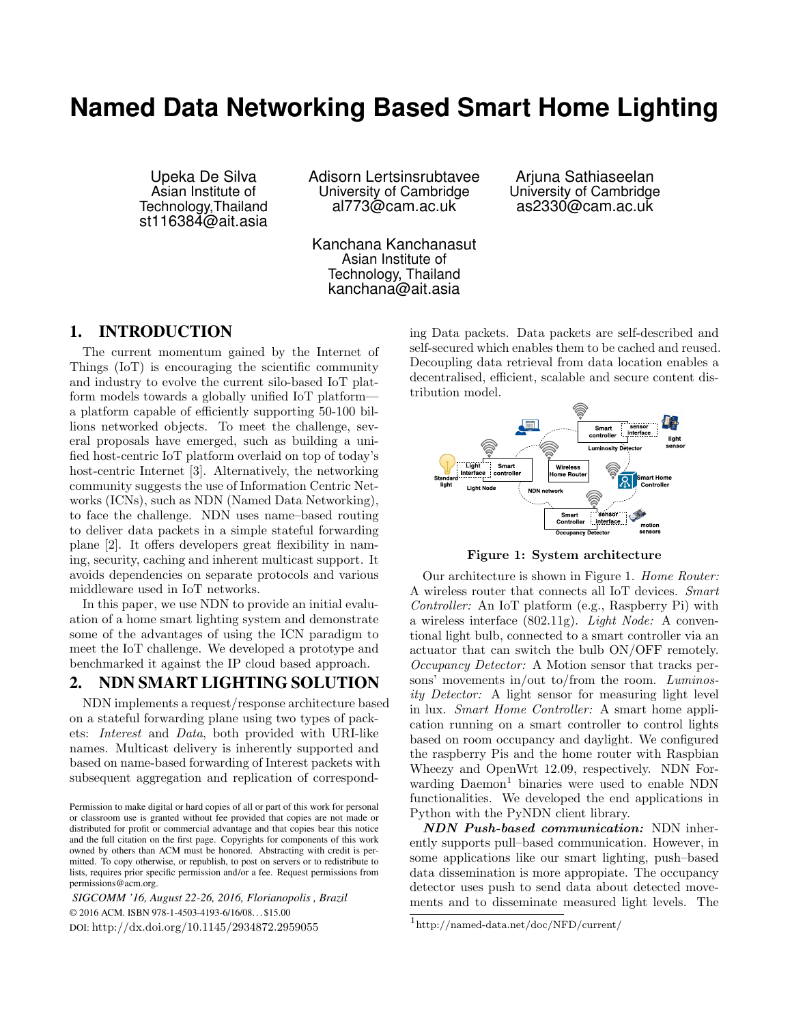# **Named Data Networking Based Smart Home Lighting**

Upeka De Silva Asian Institute of Technology,Thailand st116384@ait.asia Adisorn Lertsinsrubtavee University of Cambridge al773@cam.ac.uk

Arjuna Sathiaseelan University of Cambridge as2330@cam.ac.uk

Kanchana Kanchanasut Asian Institute of Technology, Thailand kanchana@ait.asia

### 1. INTRODUCTION

The current momentum gained by the Internet of Things (IoT) is encouraging the scientific community and industry to evolve the current silo-based IoT platform models towards a globally unified IoT platform a platform capable of efficiently supporting 50-100 billions networked objects. To meet the challenge, several proposals have emerged, such as building a unified host-centric IoT platform overlaid on top of today's host-centric Internet [3]. Alternatively, the networking community suggests the use of Information Centric Networks (ICNs), such as NDN (Named Data Networking), to face the challenge. NDN uses name–based routing to deliver data packets in a simple stateful forwarding plane [2]. It offers developers great flexibility in naming, security, caching and inherent multicast support. It avoids dependencies on separate protocols and various middleware used in IoT networks.

In this paper, we use NDN to provide an initial evaluation of a home smart lighting system and demonstrate some of the advantages of using the ICN paradigm to meet the IoT challenge. We developed a prototype and benchmarked it against the IP cloud based approach.

## 2. NDN SMART LIGHTING SOLUTION

NDN implements a request/response architecture based on a stateful forwarding plane using two types of packets: *Interest* and *Data*, both provided with URI-like names. Multicast delivery is inherently supported and based on name-based forwarding of Interest packets with subsequent aggregation and replication of correspond-

*SIGCOMM '16, August 22-26, 2016, Florianopolis , Brazil* © 2016 ACM. ISBN 978-1-4503-4193-6/16/08. . . \$15.00 DOI: http://dx.doi.org/10.1145/2934872.2959055

ing Data packets. Data packets are self-described and self-secured which enables them to be cached and reused. Decoupling data retrieval from data location enables a decentralised, efficient, scalable and secure content distribution model.



Figure 1: System architecture

Our architecture is shown in Figure 1. *Home Router:* A wireless router that connects all IoT devices. *Smart Controller:* An IoT platform (e.g., Raspberry Pi) with a wireless interface (802.11g). *Light Node:* A conventional light bulb, connected to a smart controller via an actuator that can switch the bulb ON/OFF remotely. *Occupancy Detector:* A Motion sensor that tracks persons' movements in/out to/from the room. *Luminosity Detector:* A light sensor for measuring light level in lux. *Smart Home Controller:* A smart home application running on a smart controller to control lights based on room occupancy and daylight. We configured the raspberry Pis and the home router with Raspbian Wheezy and OpenWrt 12.09, respectively. NDN Forwarding Daemon<sup>1</sup> binaries were used to enable NDN functionalities. We developed the end applications in Python with the PyNDN client library.

*NDN Push-based communication:* NDN inherently supports pull–based communication. However, in some applications like our smart lighting, push–based data dissemination is more appropiate. The occupancy detector uses push to send data about detected movements and to disseminate measured light levels. The

Permission to make digital or hard copies of all or part of this work for personal or classroom use is granted without fee provided that copies are not made or distributed for profit or commercial advantage and that copies bear this notice and the full citation on the first page. Copyrights for components of this work owned by others than ACM must be honored. Abstracting with credit is permitted. To copy otherwise, or republish, to post on servers or to redistribute to lists, requires prior specific permission and/or a fee. Request permissions from permissions@acm.org.

<sup>1</sup>http://named-data.net/doc/NFD/current/